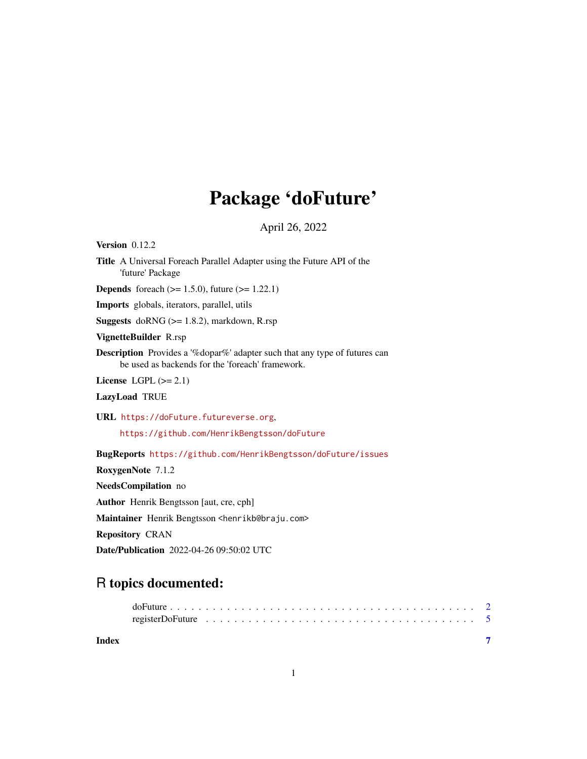## Package 'doFuture'

April 26, 2022

<span id="page-0-0"></span>Version 0.12.2 Title A Universal Foreach Parallel Adapter using the Future API of the 'future' Package **Depends** foreach  $(>= 1.5.0)$ , future  $(>= 1.22.1)$ Imports globals, iterators, parallel, utils Suggests doRNG (>= 1.8.2), markdown, R.rsp VignetteBuilder R.rsp Description Provides a '%dopar%' adapter such that any type of futures can be used as backends for the 'foreach' framework. License LGPL  $(>= 2.1)$ LazyLoad TRUE URL <https://doFuture.futureverse.org>, <https://github.com/HenrikBengtsson/doFuture> BugReports <https://github.com/HenrikBengtsson/doFuture/issues> RoxygenNote 7.1.2 NeedsCompilation no Author Henrik Bengtsson [aut, cre, cph] Maintainer Henrik Bengtsson <henrikb@braju.com>

Repository CRAN

Date/Publication 2022-04-26 09:50:02 UTC

### R topics documented:

**Index** [7](#page-6-0) **7**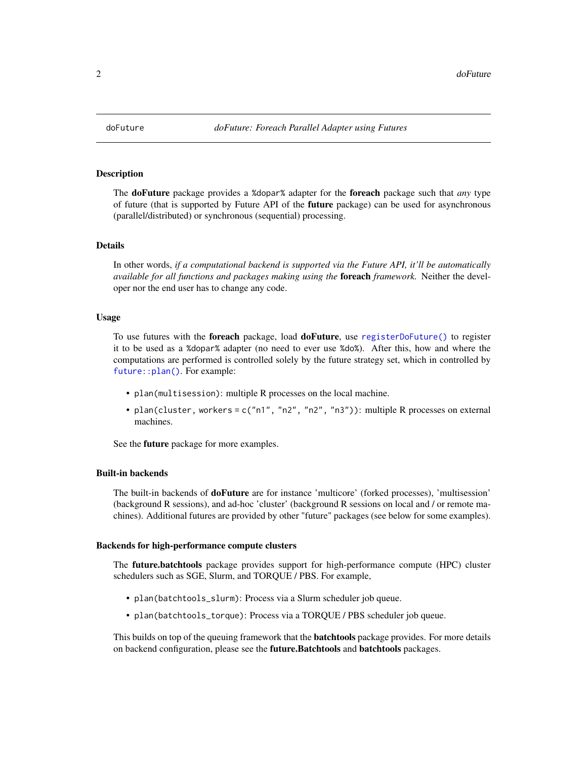<span id="page-1-1"></span><span id="page-1-0"></span>

#### Description

The doFuture package provides a %dopar% adapter for the foreach package such that *any* type of future (that is supported by Future API of the **future** package) can be used for asynchronous (parallel/distributed) or synchronous (sequential) processing.

#### Details

In other words, *if a computational backend is supported via the Future API, it'll be automatically available for all functions and packages making using the* foreach *framework.* Neither the developer nor the end user has to change any code.

#### Usage

To use futures with the foreach package, load doFuture, use [registerDoFuture\(\)](#page-4-1) to register it to be used as a %dopar% adapter (no need to ever use %do%). After this, how and where the computations are performed is controlled solely by the future strategy set, which in controlled by [future::plan\(\)](#page-0-0). For example:

- plan(multisession): multiple R processes on the local machine.
- plan(cluster, workers = c("n1", "n2", "n2", "n3")): multiple R processes on external machines.

See the **future** package for more examples.

#### Built-in backends

The built-in backends of **doFuture** are for instance 'multicore' (forked processes), 'multisession' (background R sessions), and ad-hoc 'cluster' (background R sessions on local and / or remote machines). Additional futures are provided by other "future" packages (see below for some examples).

#### Backends for high-performance compute clusters

The **future.batchtools** package provides support for high-performance compute (HPC) cluster schedulers such as SGE, Slurm, and TORQUE / PBS. For example,

- plan(batchtools\_slurm): Process via a Slurm scheduler job queue.
- plan(batchtools\_torque): Process via a TORQUE / PBS scheduler job queue.

This builds on top of the queuing framework that the **batchtools** package provides. For more details on backend configuration, please see the future. Batchtools and batchtools packages.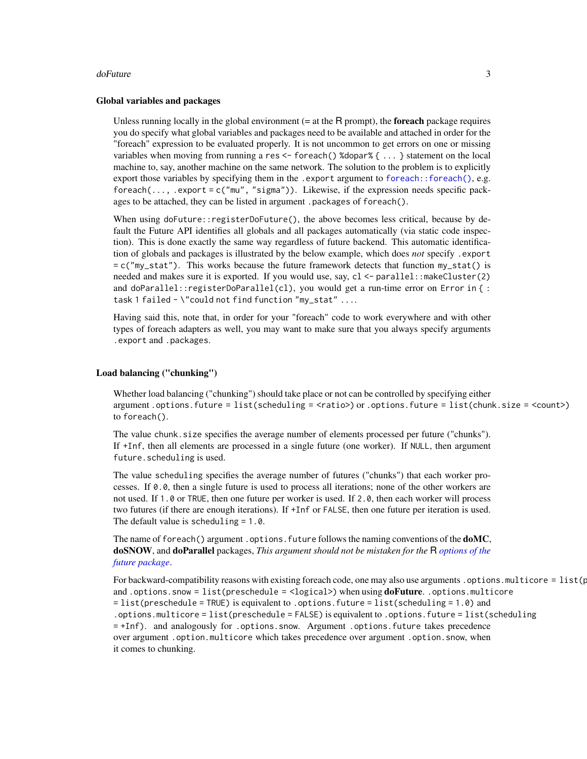#### <span id="page-2-0"></span>doFuture 3

#### Global variables and packages

Unless running locally in the global environment  $(= at the R prompt)$ , the **foreach** package requires you do specify what global variables and packages need to be available and attached in order for the "foreach" expression to be evaluated properly. It is not uncommon to get errors on one or missing variables when moving from running a res <- foreach() %dopar% { ... } statement on the local machine to, say, another machine on the same network. The solution to the problem is to explicitly export those variables by specifying them in the . export argument to [foreach::foreach\(\)](#page-0-0), e.g.  $f$ oreach(..., .export = c("mu", "sigma")). Likewise, if the expression needs specific packages to be attached, they can be listed in argument .packages of foreach().

When using doFuture::registerDoFuture(), the above becomes less critical, because by default the Future API identifies all globals and all packages automatically (via static code inspection). This is done exactly the same way regardless of future backend. This automatic identification of globals and packages is illustrated by the below example, which does *not* specify .export  $= c("my\_stat")$ . This works because the future framework detects that function  $my\_stat()$  is needed and makes sure it is exported. If you would use, say, cl <- parallel::makeCluster(2) and doParallel::registerDoParallel(cl), you would get a run-time error on Error in { : task 1 failed - \"could not find function "my\_stat" ....

Having said this, note that, in order for your "foreach" code to work everywhere and with other types of foreach adapters as well, you may want to make sure that you always specify arguments .export and .packages.

#### Load balancing ("chunking")

Whether load balancing ("chunking") should take place or not can be controlled by specifying either argument .options.future = list(scheduling = <ratio>) or .options.future = list(chunk.size = <count>) to foreach().

The value chunk. size specifies the average number of elements processed per future ("chunks"). If +Inf, then all elements are processed in a single future (one worker). If NULL, then argument future.scheduling is used.

The value scheduling specifies the average number of futures ("chunks") that each worker processes. If 0.0, then a single future is used to process all iterations; none of the other workers are not used. If 1.0 or TRUE, then one future per worker is used. If 2.0, then each worker will process two futures (if there are enough iterations). If +Inf or FALSE, then one future per iteration is used. The default value is scheduling  $= 1.0$ .

The name of foreach() argument . options. future follows the naming conventions of the **doMC**, doSNOW, and doParallel packages, *This argument should not be mistaken for the* R *[options of the](#page-0-0) [future package](#page-0-0)*.

For backward-compatibility reasons with existing foreach code, one may also use arguments . options.multicore = list( $\mathfrak{p}$ and .options.snow = list(preschedule =  $\langle \text{logical}\rangle$ ) when using **doFuture**..options.multicore = list(preschedule = TRUE) is equivalent to .options.future = list(scheduling = 1.0) and .options.multicore = list(preschedule = FALSE) is equivalent to .options.future = list(scheduling = +Inf). and analogously for .options.snow. Argument .options.future takes precedence over argument .option.multicore which takes precedence over argument .option.snow, when it comes to chunking.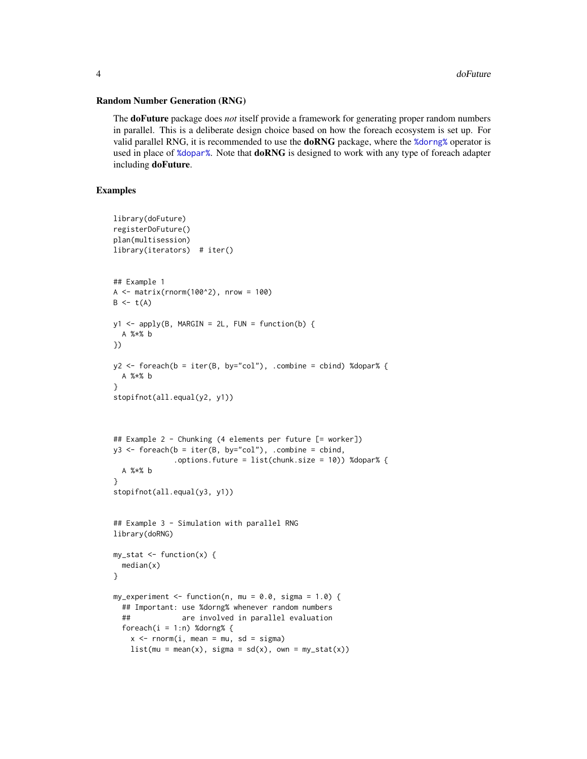#### <span id="page-3-0"></span>Random Number Generation (RNG)

The doFuture package does *not* itself provide a framework for generating proper random numbers in parallel. This is a deliberate design choice based on how the foreach ecosystem is set up. For valid parallel RNG, it is recommended to use the **doRNG** package, where the *%*dorng% operator is used in place of [%dopar%](#page-0-0). Note that **doRNG** is designed to work with any type of foreach adapter including doFuture.

#### Examples

```
library(doFuture)
registerDoFuture()
plan(multisession)
library(iterators) # iter()
## Example 1
A \leq - matrix(rnorm(100^2), nrow = 100)
B \leftarrow t(A)y1 \leq - apply(B, MARGIN = 2L, FUN = function(b) {
  A %*% b
})
y2 \le foreach(b = iter(B, by="col"), .combine = cbind) %dopar% {
  A %*% b
}
stopifnot(all.equal(y2, y1))
## Example 2 - Chunking (4 elements per future [= worker])
y3 \leftarrow foreach(b = iter(B, by="col"), .combine = cbind,
              .options.future = list(chunk.size = 10)) %dopar% {
  A %*% b
}
stopifnot(all.equal(y3, y1))
## Example 3 - Simulation with parallel RNG
library(doRNG)
my_stat <- function(x) {
  median(x)
}
my_experiment <- function(n, mu = 0.0, sigma = 1.0) {
  ## Important: use %dorng% whenever random numbers
  ## are involved in parallel evaluation
  foreach(i = 1:n) %dorng% {
   x \le - rnorm(i, mean = mu, sd = sigma)
   list(mu = mean(x), sigma = sd(x), own = my_stat(x))
```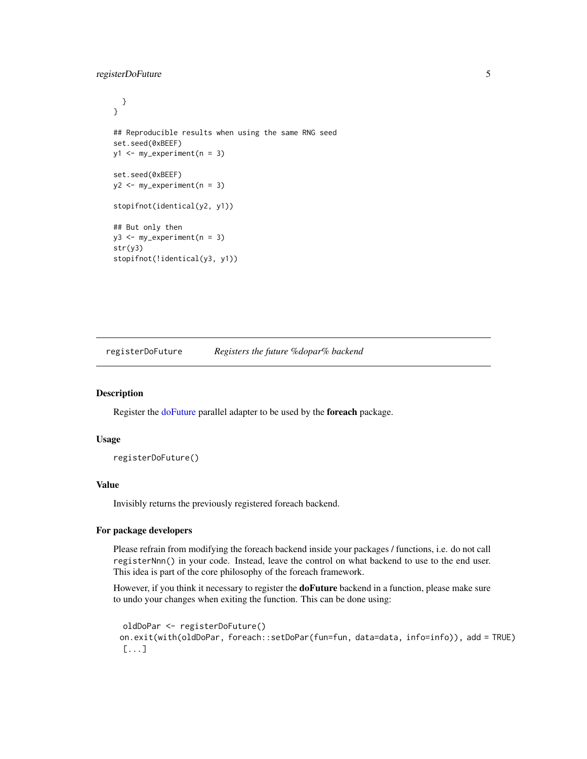#### <span id="page-4-0"></span>registerDoFuture 5

```
}
}
## Reproducible results when using the same RNG seed
set.seed(0xBEEF)
y1 <- my_experiment(n = 3)
set.seed(0xBEEF)
y2 \leq -my\text{ experiment}(n = 3)
stopifnot(identical(y2, y1))
## But only then
y3 \leq -my\text{ experiment}(n = 3)
str(y3)
stopifnot(!identical(y3, y1))
```
<span id="page-4-1"></span>registerDoFuture *Registers the future %dopar% backend*

#### Description

Register the [doFuture](#page-1-1) parallel adapter to be used by the foreach package.

#### Usage

registerDoFuture()

#### Value

Invisibly returns the previously registered foreach backend.

#### For package developers

Please refrain from modifying the foreach backend inside your packages / functions, i.e. do not call registerNnn() in your code. Instead, leave the control on what backend to use to the end user. This idea is part of the core philosophy of the foreach framework.

However, if you think it necessary to register the **doFuture** backend in a function, please make sure to undo your changes when exiting the function. This can be done using:

```
oldDoPar <- registerDoFuture()
on.exit(with(oldDoPar, foreach::setDoPar(fun=fun, data=data, info=info)), add = TRUE)
[...]
```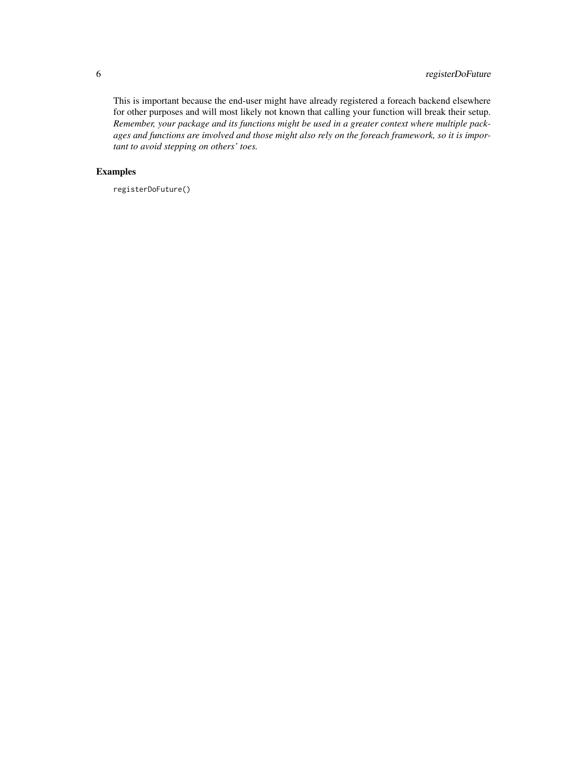#### 6 registerDoFuture

This is important because the end-user might have already registered a foreach backend elsewhere for other purposes and will most likely not known that calling your function will break their setup. *Remember, your package and its functions might be used in a greater context where multiple packages and functions are involved and those might also rely on the foreach framework, so it is important to avoid stepping on others' toes.*

#### Examples

registerDoFuture()